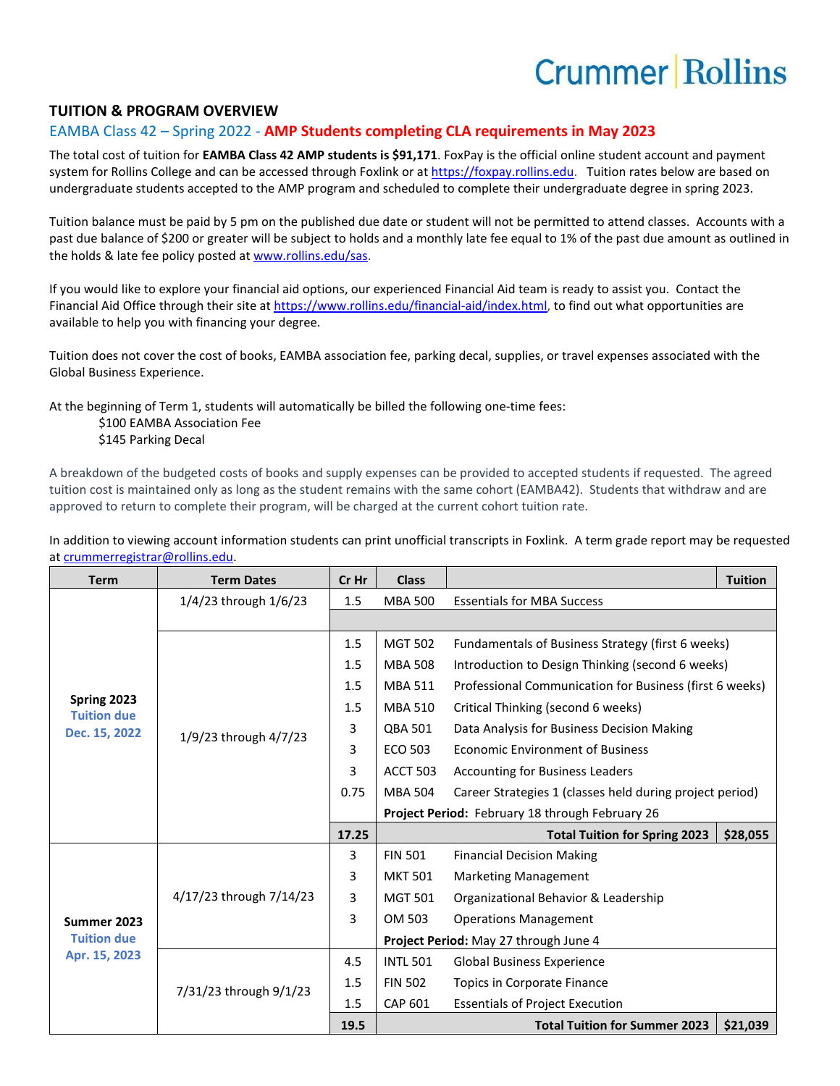## **Crummer Rollins**

## **TUITION & PROGRAM OVERVIEW**

## EAMBA Class 42 – Spring 2022 - **AMP Students completing CLA requirements in May 2023**

The total cost of tuition for **EAMBA Class 42 AMP students is \$91,171**. FoxPay is the official online student account and payment system for Rollins College and can be accessed through Foxlink or a[t https://foxpay.rollins.edu.](https://foxpay.rollins.edu/) Tuition rates below are based on undergraduate students accepted to the AMP program and scheduled to complete their undergraduate degree in spring 2023.

Tuition balance must be paid by 5 pm on the published due date or student will not be permitted to attend classes. Accounts with a past due balance of \$200 or greater will be subject to holds and a monthly late fee equal to 1% of the past due amount as outlined in the holds & late fee policy posted at [www.rollins.edu/sas.](http://www.rollins.edu/sas)

If you would like to explore your financial aid options, our experienced Financial Aid team is ready to assist you. Contact the Financial Aid Office through their site at [https://www.rollins.edu/financial-aid/index.html,](https://www.rollins.edu/financial-aid/index.html) to find out what opportunities are available to help you with financing your degree.

Tuition does not cover the cost of books, EAMBA association fee, parking decal, supplies, or travel expenses associated with the Global Business Experience.

At the beginning of Term 1, students will automatically be billed the following one-time fees:

\$100 EAMBA Association Fee

\$145 Parking Decal

A breakdown of the budgeted costs of books and supply expenses can be provided to accepted students if requested. The agreed tuition cost is maintained only as long as the student remains with the same cohort (EAMBA42). Students that withdraw and are approved to return to complete their program, will be charged at the current cohort tuition rate.

In addition to viewing account information students can print unofficial transcripts in Foxlink. A term grade report may be requested a[t crummerregistrar@rollins.edu.](mailto:crummerregistrar@rollins.edu)

| <b>Term</b>                                        | <b>Term Dates</b>         | Cr Hr | <b>Class</b>    |                                                          | <b>Tuition</b> |  |
|----------------------------------------------------|---------------------------|-------|-----------------|----------------------------------------------------------|----------------|--|
| Spring 2023<br><b>Tuition due</b><br>Dec. 15, 2022 | $1/4/23$ through $1/6/23$ | 1.5   | <b>MBA 500</b>  | <b>Essentials for MBA Success</b>                        |                |  |
|                                                    |                           |       |                 |                                                          |                |  |
|                                                    | 1/9/23 through 4/7/23     | 1.5   | <b>MGT 502</b>  | Fundamentals of Business Strategy (first 6 weeks)        |                |  |
|                                                    |                           | 1.5   | <b>MBA 508</b>  | Introduction to Design Thinking (second 6 weeks)         |                |  |
|                                                    |                           | 1.5   | <b>MBA 511</b>  | Professional Communication for Business (first 6 weeks)  |                |  |
|                                                    |                           | 1.5   | <b>MBA 510</b>  | Critical Thinking (second 6 weeks)                       |                |  |
|                                                    |                           | 3     | <b>QBA 501</b>  | Data Analysis for Business Decision Making               |                |  |
|                                                    |                           | 3     | <b>ECO 503</b>  | <b>Economic Environment of Business</b>                  |                |  |
|                                                    |                           | 3     | <b>ACCT 503</b> | <b>Accounting for Business Leaders</b>                   |                |  |
|                                                    |                           | 0.75  | <b>MBA 504</b>  | Career Strategies 1 (classes held during project period) |                |  |
|                                                    |                           |       |                 | Project Period: February 18 through February 26          |                |  |
|                                                    |                           | 17.25 |                 | <b>Total Tuition for Spring 2023</b>                     | \$28,055       |  |
| Summer 2023<br><b>Tuition due</b><br>Apr. 15, 2023 | 4/17/23 through 7/14/23   | 3     | <b>FIN 501</b>  | <b>Financial Decision Making</b>                         |                |  |
|                                                    |                           | 3     | <b>MKT 501</b>  | <b>Marketing Management</b>                              |                |  |
|                                                    |                           | 3     | <b>MGT 501</b>  | Organizational Behavior & Leadership                     |                |  |
|                                                    |                           | 3     | OM 503          | <b>Operations Management</b>                             |                |  |
|                                                    |                           |       |                 | Project Period: May 27 through June 4                    |                |  |
|                                                    | 7/31/23 through 9/1/23    | 4.5   | <b>INTL 501</b> | <b>Global Business Experience</b>                        |                |  |
|                                                    |                           | 1.5   | <b>FIN 502</b>  | Topics in Corporate Finance                              |                |  |
|                                                    |                           | 1.5   | <b>CAP 601</b>  | <b>Essentials of Project Execution</b>                   |                |  |
|                                                    |                           | 19.5  |                 | <b>Total Tuition for Summer 2023</b>                     | \$21,039       |  |